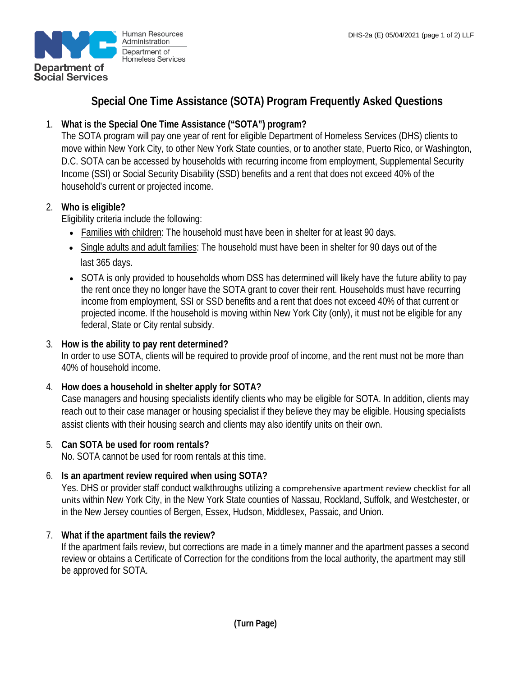

# **Special One Time Assistance (SOTA) Program Frequently Asked Questions**

## 1. **What is the Special One Time Assistance ("SOTA") program?**

The SOTA program will pay one year of rent for eligible Department of Homeless Services (DHS) clients to move within New York City, to other New York State counties, or to another state, Puerto Rico, or Washington, D.C. SOTA can be accessed by households with recurring income from employment, Supplemental Security Income (SSI) or Social Security Disability (SSD) benefits and a rent that does not exceed 40% of the household's current or projected income.

## 2. **Who is eligible?**

Eligibility criteria include the following:

- Families with children: The household must have been in shelter for at least 90 days.
- Single adults and adult families: The household must have been in shelter for 90 days out of the last 365 days.
- SOTA is only provided to households whom DSS has determined will likely have the future ability to pay the rent once they no longer have the SOTA grant to cover their rent. Households must have recurring income from employment, SSI or SSD benefits and a rent that does not exceed 40% of that current or projected income. If the household is moving within New York City (only), it must not be eligible for any federal, State or City rental subsidy.

## 3. **How is the ability to pay rent determined?**

In order to use SOTA, clients will be required to provide proof of income, and the rent must not be more than 40% of household income.

## 4. **How does a household in shelter apply for SOTA?**

Case managers and housing specialists identify clients who may be eligible for SOTA. In addition, clients may reach out to their case manager or housing specialist if they believe they may be eligible. Housing specialists assist clients with their housing search and clients may also identify units on their own.

#### 5. **Can SOTA be used for room rentals?**

No. SOTA cannot be used for room rentals at this time.

## 6. **Is an apartment review required when using SOTA?**

Yes. DHS or provider staff conduct walkthroughs utilizing a comprehensive apartment review checklist for all units within New York City, in the New York State counties of Nassau, Rockland, Suffolk, and Westchester, or in the New Jersey counties of Bergen, Essex, Hudson, Middlesex, Passaic, and Union.

#### 7. **What if the apartment fails the review?**

If the apartment fails review, but corrections are made in a timely manner and the apartment passes a second review or obtains a Certificate of Correction for the conditions from the local authority, the apartment may still be approved for SOTA.